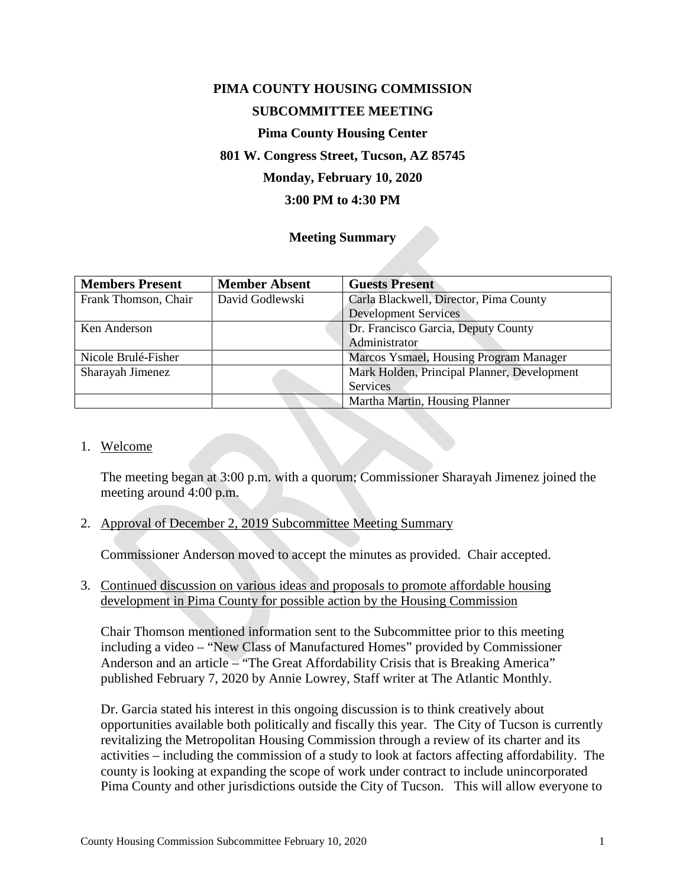# **PIMA COUNTY HOUSING COMMISSION SUBCOMMITTEE MEETING**

## **Pima County Housing Center**

## **801 W. Congress Street, Tucson, AZ 85745**

## **Monday, February 10, 2020**

## **3:00 PM to 4:30 PM**

#### **Meeting Summary**

| <b>Members Present</b> | <b>Member Absent</b> | <b>Guests Present</b>                       |
|------------------------|----------------------|---------------------------------------------|
| Frank Thomson, Chair   | David Godlewski      | Carla Blackwell, Director, Pima County      |
|                        |                      | <b>Development Services</b>                 |
| Ken Anderson           |                      | Dr. Francisco Garcia, Deputy County         |
|                        |                      | Administrator                               |
| Nicole Brulé-Fisher    |                      | Marcos Ysmael, Housing Program Manager      |
| Sharayah Jimenez       |                      | Mark Holden, Principal Planner, Development |
|                        |                      | Services                                    |
|                        |                      | Martha Martin, Housing Planner              |

#### 1. Welcome

The meeting began at 3:00 p.m. with a quorum; Commissioner Sharayah Jimenez joined the meeting around 4:00 p.m.

#### 2. Approval of December 2, 2019 Subcommittee Meeting Summary

Commissioner Anderson moved to accept the minutes as provided. Chair accepted.

3. Continued discussion on various ideas and proposals to promote affordable housing development in Pima County for possible action by the Housing Commission

Chair Thomson mentioned information sent to the Subcommittee prior to this meeting including a video – "New Class of Manufactured Homes" provided by Commissioner Anderson and an article – "The Great Affordability Crisis that is Breaking America" published February 7, 2020 by Annie Lowrey, Staff writer at The Atlantic Monthly.

Dr. Garcia stated his interest in this ongoing discussion is to think creatively about opportunities available both politically and fiscally this year. The City of Tucson is currently revitalizing the Metropolitan Housing Commission through a review of its charter and its activities – including the commission of a study to look at factors affecting affordability. The county is looking at expanding the scope of work under contract to include unincorporated Pima County and other jurisdictions outside the City of Tucson. This will allow everyone to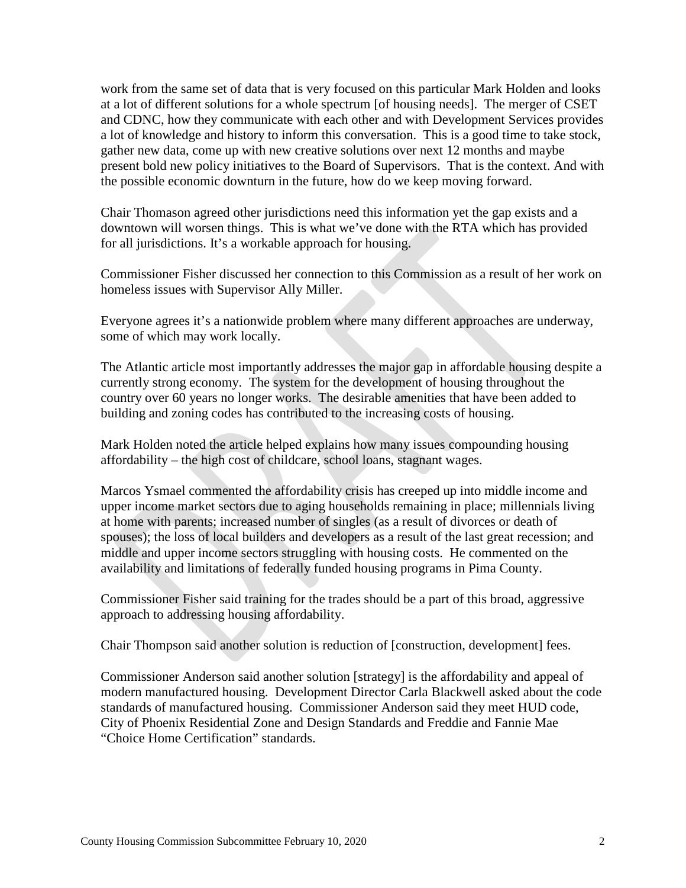work from the same set of data that is very focused on this particular Mark Holden and looks at a lot of different solutions for a whole spectrum [of housing needs]. The merger of CSET and CDNC, how they communicate with each other and with Development Services provides a lot of knowledge and history to inform this conversation. This is a good time to take stock, gather new data, come up with new creative solutions over next 12 months and maybe present bold new policy initiatives to the Board of Supervisors. That is the context. And with the possible economic downturn in the future, how do we keep moving forward.

Chair Thomason agreed other jurisdictions need this information yet the gap exists and a downtown will worsen things. This is what we've done with the RTA which has provided for all jurisdictions. It's a workable approach for housing.

Commissioner Fisher discussed her connection to this Commission as a result of her work on homeless issues with Supervisor Ally Miller.

Everyone agrees it's a nationwide problem where many different approaches are underway, some of which may work locally.

The Atlantic article most importantly addresses the major gap in affordable housing despite a currently strong economy. The system for the development of housing throughout the country over 60 years no longer works. The desirable amenities that have been added to building and zoning codes has contributed to the increasing costs of housing.

Mark Holden noted the article helped explains how many issues compounding housing affordability – the high cost of childcare, school loans, stagnant wages.

Marcos Ysmael commented the affordability crisis has creeped up into middle income and upper income market sectors due to aging households remaining in place; millennials living at home with parents; increased number of singles (as a result of divorces or death of spouses); the loss of local builders and developers as a result of the last great recession; and middle and upper income sectors struggling with housing costs. He commented on the availability and limitations of federally funded housing programs in Pima County.

Commissioner Fisher said training for the trades should be a part of this broad, aggressive approach to addressing housing affordability.

Chair Thompson said another solution is reduction of [construction, development] fees.

Commissioner Anderson said another solution [strategy] is the affordability and appeal of modern manufactured housing. Development Director Carla Blackwell asked about the code standards of manufactured housing. Commissioner Anderson said they meet HUD code, City of Phoenix Residential Zone and Design Standards and Freddie and Fannie Mae "Choice Home Certification" standards.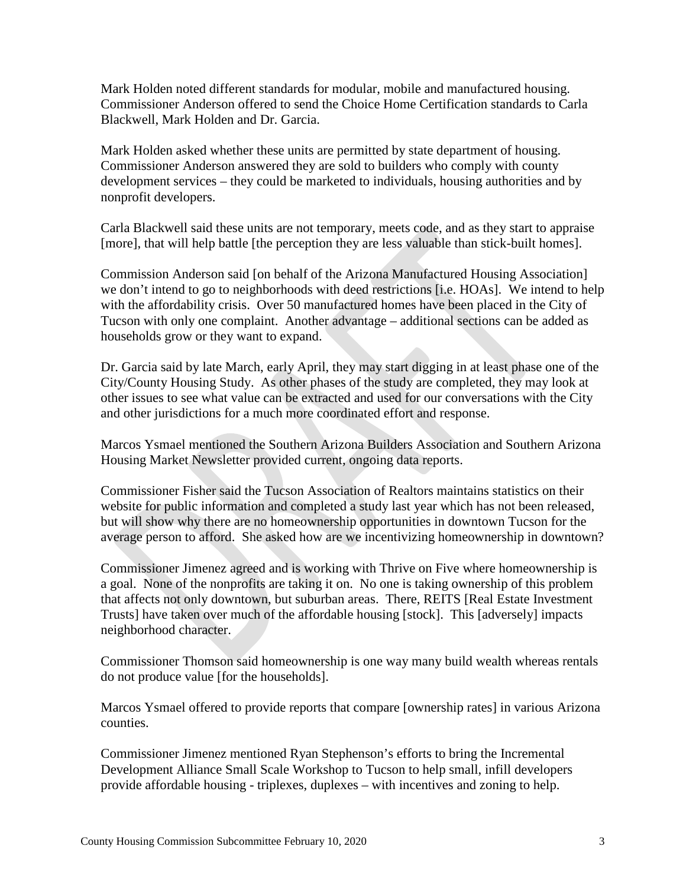Mark Holden noted different standards for modular, mobile and manufactured housing. Commissioner Anderson offered to send the Choice Home Certification standards to Carla Blackwell, Mark Holden and Dr. Garcia.

Mark Holden asked whether these units are permitted by state department of housing. Commissioner Anderson answered they are sold to builders who comply with county development services – they could be marketed to individuals, housing authorities and by nonprofit developers.

Carla Blackwell said these units are not temporary, meets code, and as they start to appraise [more], that will help battle [the perception they are less valuable than stick-built homes].

Commission Anderson said [on behalf of the Arizona Manufactured Housing Association] we don't intend to go to neighborhoods with deed restrictions [i.e. HOAs]. We intend to help with the affordability crisis. Over 50 manufactured homes have been placed in the City of Tucson with only one complaint. Another advantage – additional sections can be added as households grow or they want to expand.

Dr. Garcia said by late March, early April, they may start digging in at least phase one of the City/County Housing Study. As other phases of the study are completed, they may look at other issues to see what value can be extracted and used for our conversations with the City and other jurisdictions for a much more coordinated effort and response.

Marcos Ysmael mentioned the Southern Arizona Builders Association and Southern Arizona Housing Market Newsletter provided current, ongoing data reports.

Commissioner Fisher said the Tucson Association of Realtors maintains statistics on their website for public information and completed a study last year which has not been released, but will show why there are no homeownership opportunities in downtown Tucson for the average person to afford. She asked how are we incentivizing homeownership in downtown?

Commissioner Jimenez agreed and is working with Thrive on Five where homeownership is a goal. None of the nonprofits are taking it on. No one is taking ownership of this problem that affects not only downtown, but suburban areas. There, REITS [Real Estate Investment Trusts] have taken over much of the affordable housing [stock]. This [adversely] impacts neighborhood character.

Commissioner Thomson said homeownership is one way many build wealth whereas rentals do not produce value [for the households].

Marcos Ysmael offered to provide reports that compare [ownership rates] in various Arizona counties.

Commissioner Jimenez mentioned Ryan Stephenson's efforts to bring the Incremental Development Alliance Small Scale Workshop to Tucson to help small, infill developers provide affordable housing - triplexes, duplexes – with incentives and zoning to help.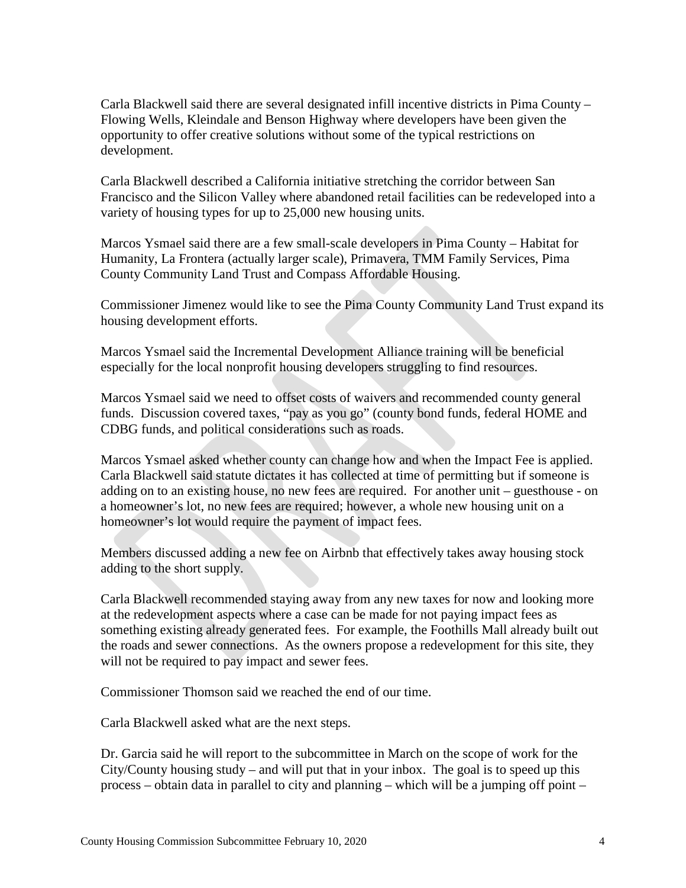Carla Blackwell said there are several designated infill incentive districts in Pima County – Flowing Wells, Kleindale and Benson Highway where developers have been given the opportunity to offer creative solutions without some of the typical restrictions on development.

Carla Blackwell described a California initiative stretching the corridor between San Francisco and the Silicon Valley where abandoned retail facilities can be redeveloped into a variety of housing types for up to 25,000 new housing units.

Marcos Ysmael said there are a few small-scale developers in Pima County – Habitat for Humanity, La Frontera (actually larger scale), Primavera, TMM Family Services, Pima County Community Land Trust and Compass Affordable Housing.

Commissioner Jimenez would like to see the Pima County Community Land Trust expand its housing development efforts.

Marcos Ysmael said the Incremental Development Alliance training will be beneficial especially for the local nonprofit housing developers struggling to find resources.

Marcos Ysmael said we need to offset costs of waivers and recommended county general funds. Discussion covered taxes, "pay as you go" (county bond funds, federal HOME and CDBG funds, and political considerations such as roads.

Marcos Ysmael asked whether county can change how and when the Impact Fee is applied. Carla Blackwell said statute dictates it has collected at time of permitting but if someone is adding on to an existing house, no new fees are required. For another unit – guesthouse - on a homeowner's lot, no new fees are required; however, a whole new housing unit on a homeowner's lot would require the payment of impact fees.

Members discussed adding a new fee on Airbnb that effectively takes away housing stock adding to the short supply.

Carla Blackwell recommended staying away from any new taxes for now and looking more at the redevelopment aspects where a case can be made for not paying impact fees as something existing already generated fees. For example, the Foothills Mall already built out the roads and sewer connections. As the owners propose a redevelopment for this site, they will not be required to pay impact and sewer fees.

Commissioner Thomson said we reached the end of our time.

Carla Blackwell asked what are the next steps.

Dr. Garcia said he will report to the subcommittee in March on the scope of work for the City/County housing study – and will put that in your inbox. The goal is to speed up this process – obtain data in parallel to city and planning – which will be a jumping off point –